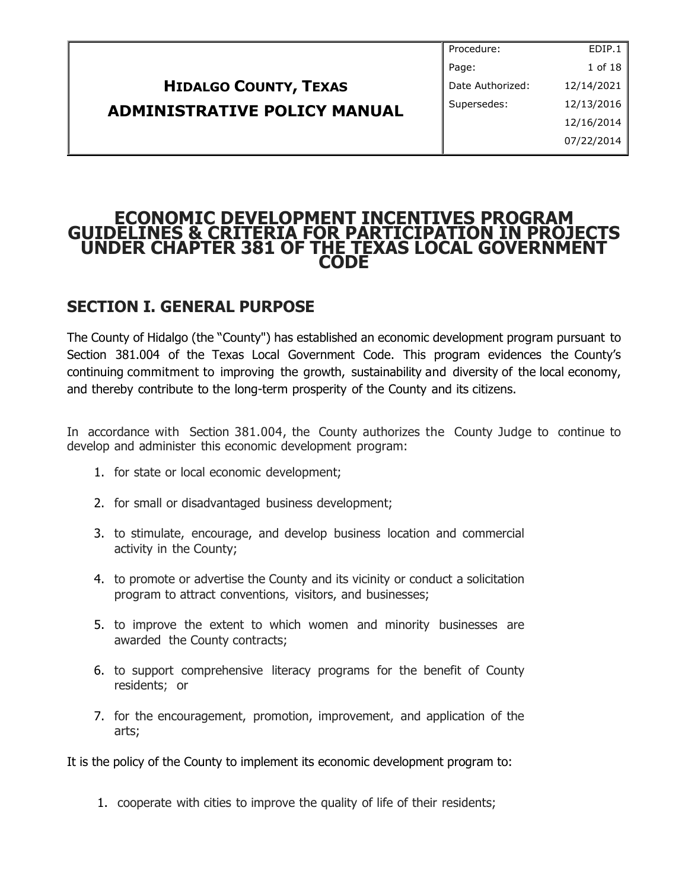|                                     | Procedure:       | EDIP.1     |
|-------------------------------------|------------------|------------|
|                                     | Page:            | 1 of 18    |
| <b>HIDALGO COUNTY, TEXAS</b>        | Date Authorized: | 12/14/2021 |
| <b>ADMINISTRATIVE POLICY MANUAL</b> | Supersedes:      | 12/13/2016 |
|                                     |                  | 12/16/2014 |
|                                     |                  | 07/22/2014 |
|                                     |                  |            |

## **ECONOMIC DEVELOPMENT INCENTIVES PROGRAM GUIDELINES & CRITERIA FOR PARTICIPATION IN PROJECTS UNDER CHAPTER 381 OF THE TEXAS LOCAL GOVERNMENT CODE**

# **SECTION I. GENERAL PURPOSE**

The County of Hidalgo (the "County") has established an economic development program pursuant to Section 381.004 of the Texas Local Government Code. This program evidences the County's continuing commitment to improving the growth, sustainability and diversity of the local economy, and thereby contribute to the long-term prosperity of the County and its citizens.

In accordance with Section 381.004, the County authorizes the County Judge to continue to develop and administer this economic development program:

- 1. for state or local economic development;
- 2. for small or disadvantaged business development;
- 3. to stimulate, encourage, and develop business location and commercial activity in the County;
- 4. to promote or advertise the County and its vicinity or conduct a solicitation program to attract conventions, visitors, and businesses;
- 5. to improve the extent to which women and minority businesses are awarded the County contracts;
- 6. to support comprehensive literacy programs for the benefit of County residents; or
- 7. for the encouragement, promotion, improvement, and application of the arts;

It is the policy of the County to implement its economic development program to:

1. cooperate with cities to improve the quality of life of their residents;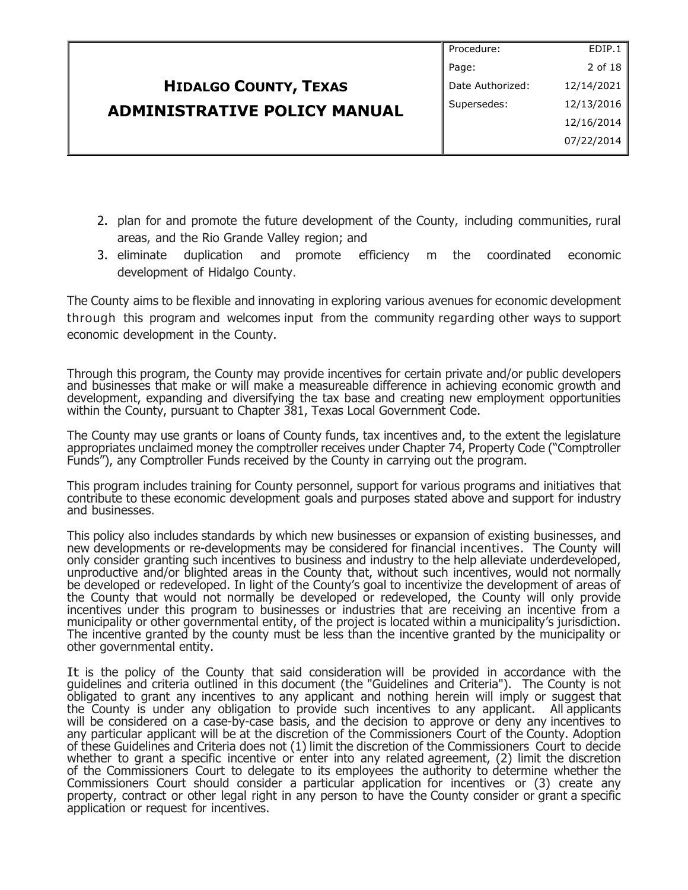|                                     | Procedure:       | EDIP.1     |
|-------------------------------------|------------------|------------|
|                                     | Page:            | 2 of 18    |
| <b>HIDALGO COUNTY, TEXAS</b>        | Date Authorized: | 12/14/2021 |
| <b>ADMINISTRATIVE POLICY MANUAL</b> | Supersedes:      | 12/13/2016 |
|                                     |                  | 12/16/2014 |
|                                     |                  | 07/22/2014 |
|                                     |                  |            |

- 2. plan for and promote the future development of the County, including communities, rural areas, and the Rio Grande Valley region; and
- 3. eliminate duplication and promote efficiency m the coordinated economic development of Hidalgo County.

The County aims to be flexible and innovating in exploring various avenues for economic development through this program and welcomes input from the community regarding other ways to support economic development in the County.

Through this program, the County may provide incentives for certain private and/or public developers and businesses that make or will make a measureable difference in achieving economic growth and development, expanding and diversifying the tax base and creating new employment opportunities within the County, pursuant to Chapter 381, Texas Local Government Code.

The County may use grants or loans of County funds, tax incentives and, to the extent the legislature appropriates unclaimed money the comptroller receives under Chapter 74, Property Code ("Comptroller Funds"), any Comptroller Funds received by the County in carrying out the program.

This program includes training for County personnel, support for various programs and initiatives that contribute to these economic development goals and purposes stated above and support for industry and businesses.

This policy also includes standards by which new businesses or expansion of existing businesses, and new developments or re-developments may be considered for financial incentives. The County will only consider granting such incentives to business and industry to the help alleviate underdeveloped, unproductive and/or blighted areas in the County that, without such incentives, would not normally be developed or redeveloped. In light of the County's goal to incentivize the development of areas of the County that would not normally be developed or redeveloped, the County will only provide incentives under this program to businesses or industries that are receiving an incentive from a municipality or other governmental entity, of the project is located within a municipality's jurisdiction. The incentive granted by the county must be less than the incentive granted by the municipality or other governmental entity.

It is the policy of the County that said consideration will be provided in accordance with the guidelines and criteria outlined in this document (the "Guidelines and Criteria"). The County is not obligated to grant any incentives to any applicant and nothing herein will imply or suggest that the County is under any obligation to provide such incentives to any applicant. All applicants will be considered on a case-by-case basis, and the decision to approve or deny any incentives to any particular applicant will be at the discretion of the Commissioners Court of the County. Adoption of these Guidelines and Criteria does not (1) limit the discretion of the Commissioners Court to decide whether to grant a specific incentive or enter into any related agreement,  $(2)$  limit the discretion of the Commissioners Court to delegate to its employees the authority to determine whether the Commissioners Court should consider a particular application for incentives or (3) create any property, contract or other legal right in any person to have the County consider or grant a specific application or request for incentives.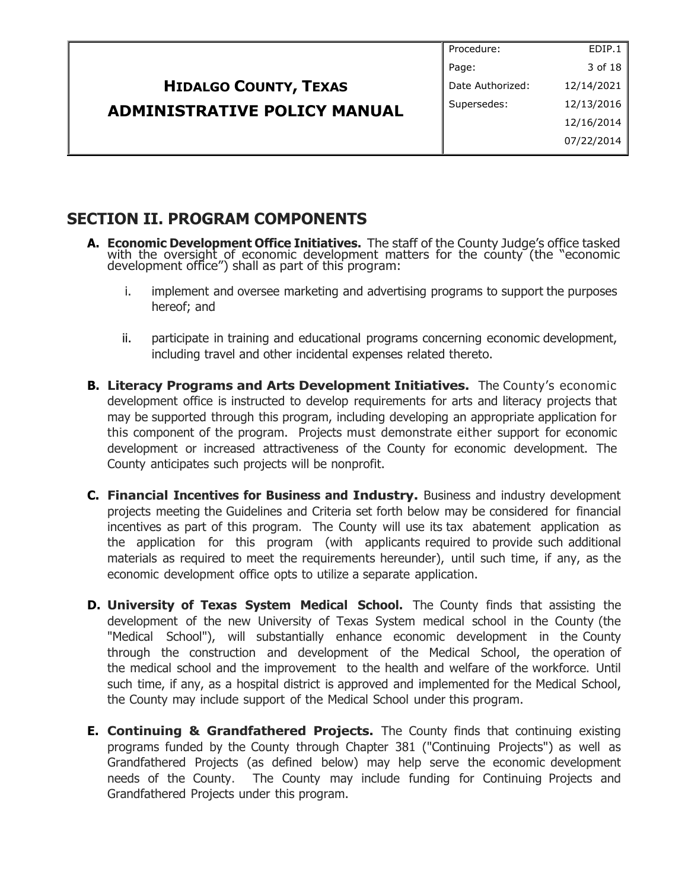|                                     | Procedure:       | EDIP.1     |
|-------------------------------------|------------------|------------|
|                                     | Page:            | 3 of 18    |
| <b>HIDALGO COUNTY, TEXAS</b>        | Date Authorized: | 12/14/2021 |
|                                     | Supersedes:      | 12/13/2016 |
|                                     |                  | 12/16/2014 |
|                                     |                  | 07/22/2014 |
| <b>ADMINISTRATIVE POLICY MANUAL</b> |                  |            |

# **SECTION II. PROGRAM COMPONENTS**

- **A. Economic Development Office Initiatives.** The staff of the County Judge's office tasked with the oversight of economic development matters for the county (the "economic development office") shall as part of this program:
	- i. implement and oversee marketing and advertising programs to support the purposes hereof; and
	- ii. participate in training and educational programs concerning economic development, including travel and other incidental expenses related thereto.
- **B. Literacy Programs and Arts Development Initiatives.** The County's economic development office is instructed to develop requirements for arts and literacy projects that may be supported through this program, including developing an appropriate application for this component of the program. Projects must demonstrate either support for economic development or increased attractiveness of the County for economic development. The County anticipates such projects will be nonprofit.
- **C. Financial Incentives for Business and Industry.** Business and industry development projects meeting the Guidelines and Criteria set forth below may be considered for financial incentives as part of this program. The County will use its tax abatement application as the application for this program (with applicants required to provide such additional materials as required to meet the requirements hereunder), until such time, if any, as the economic development office opts to utilize a separate application.
- **D. University of Texas System Medical School.** The County finds that assisting the development of the new University of Texas System medical school in the County (the "Medical School"), will substantially enhance economic development in the County through the construction and development of the Medical School, the operation of the medical school and the improvement to the health and welfare of the workforce. Until such time, if any, as a hospital district is approved and implemented for the Medical School, the County may include support of the Medical School under this program.
- **E. Continuing & Grandfathered Projects.** The County finds that continuing existing programs funded by the County through Chapter 381 ("Continuing Projects") as well as Grandfathered Projects (as defined below) may help serve the economic development needs of the County. The County may include funding for Continuing Projects and Grandfathered Projects under this program.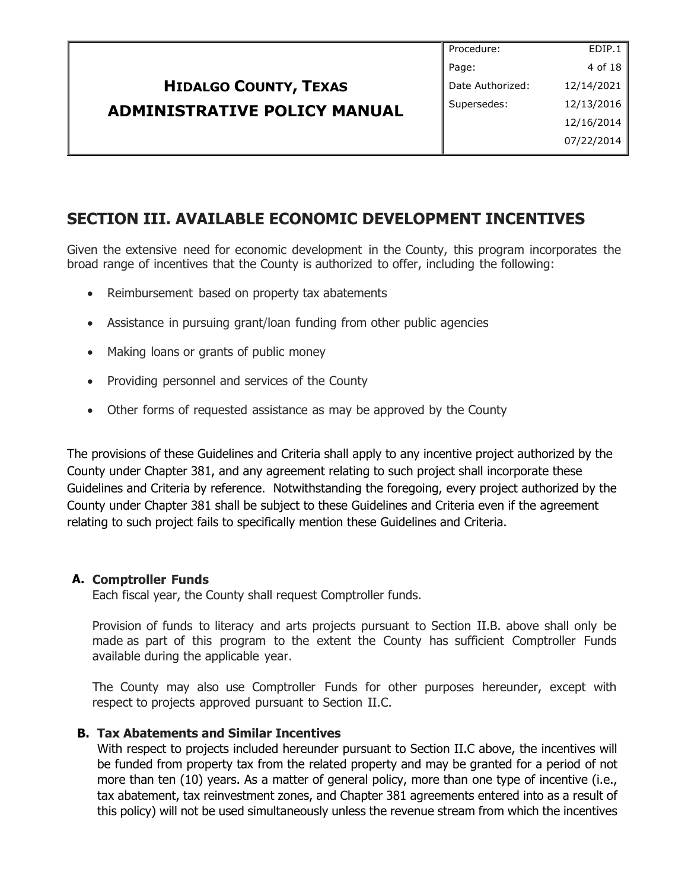|                                     | Procedure:       | EDIP.1     |
|-------------------------------------|------------------|------------|
|                                     | Page:            | 4 of 18    |
| <b>HIDALGO COUNTY, TEXAS</b>        | Date Authorized: | 12/14/2021 |
| <b>ADMINISTRATIVE POLICY MANUAL</b> | Supersedes:      | 12/13/2016 |
|                                     |                  | 12/16/2014 |
|                                     |                  | 07/22/2014 |
|                                     |                  |            |

# **SECTION III. AVAILABLE ECONOMIC DEVELOPMENT INCENTIVES**

Given the extensive need for economic development in the County, this program incorporates the broad range of incentives that the County is authorized to offer, including the following:

- Reimbursement based on property tax abatements
- Assistance in pursuing grant/loan funding from other public agencies
- Making loans or grants of public money
- Providing personnel and services of the County
- Other forms of requested assistance as may be approved by the County

The provisions of these Guidelines and Criteria shall apply to any incentive project authorized by the County under Chapter 381, and any agreement relating to such project shall incorporate these Guidelines and Criteria by reference. Notwithstanding the foregoing, every project authorized by the County under Chapter 381 shall be subject to these Guidelines and Criteria even if the agreement relating to such project fails to specifically mention these Guidelines and Criteria.

### **A. Comptroller Funds**

Each fiscal year, the County shall request Comptroller funds.

Provision of funds to literacy and arts projects pursuant to Section II.B. above shall only be made as part of this program to the extent the County has sufficient Comptroller Funds available during the applicable year.

The County may also use Comptroller Funds for other purposes hereunder, except with respect to projects approved pursuant to Section II.C.

### **B. Tax Abatements and Similar Incentives**

With respect to projects included hereunder pursuant to Section II.C above, the incentives will be funded from property tax from the related property and may be granted for a period of not more than ten (10) years. As a matter of general policy, more than one type of incentive (i.e., tax abatement, tax reinvestment zones, and Chapter 381 agreements entered into as a result of this policy) will not be used simultaneously unless the revenue stream from which the incentives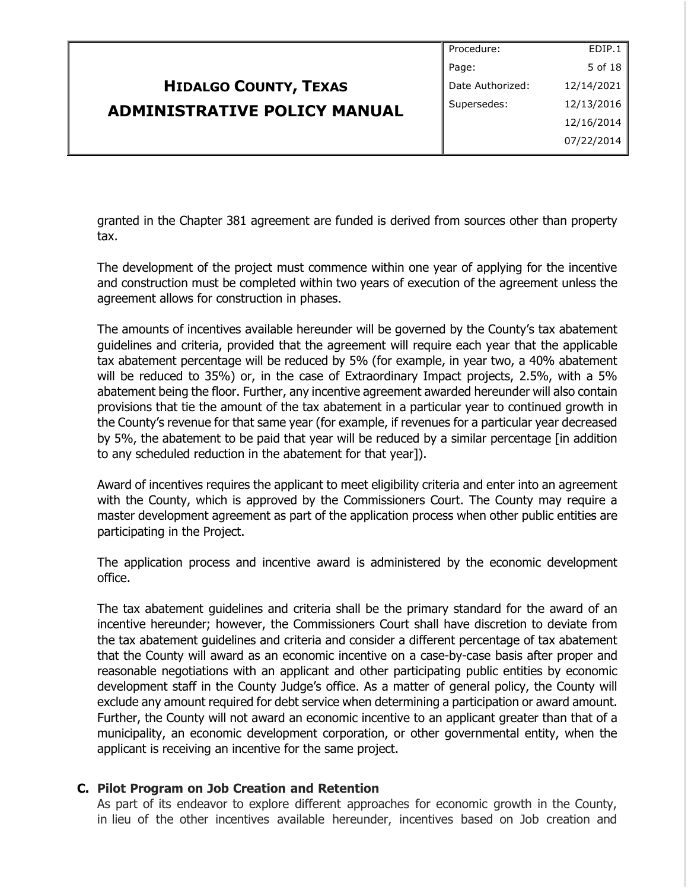|                                     | Procedure:       | EDIP.1     |
|-------------------------------------|------------------|------------|
|                                     | Page:            | 5 of 18    |
| <b>HIDALGO COUNTY, TEXAS</b>        | Date Authorized: | 12/14/2021 |
| <b>ADMINISTRATIVE POLICY MANUAL</b> | Supersedes:      | 12/13/2016 |
|                                     |                  | 12/16/2014 |
|                                     |                  | 07/22/2014 |
|                                     |                  |            |

granted in the Chapter 381 agreement are funded is derived from sources other than property tax.

The development of the project must commence within one year of applying for the incentive and construction must be completed within two years of execution of the agreement unless the agreement allows for construction in phases.

The amounts of incentives available hereunder will be governed by the County's tax abatement guidelines and criteria, provided that the agreement will require each year that the applicable tax abatement percentage will be reduced by 5% (for example, in year two, a 40% abatement will be reduced to 35%) or, in the case of Extraordinary Impact projects, 2.5%, with a 5% abatement being the floor. Further, any incentive agreement awarded hereunder will also contain provisions that tie the amount of the tax abatement in a particular year to continued growth in the County's revenue for that same year (for example, if revenues for a particular year decreased by 5%, the abatement to be paid that year will be reduced by a similar percentage [in addition to any scheduled reduction in the abatement for that year]).

Award of incentives requires the applicant to meet eligibility criteria and enter into an agreement with the County, which is approved by the Commissioners Court. The County may require a master development agreement as part of the application process when other public entities are participating in the Project.

The application process and incentive award is administered by the economic development office.

The tax abatement guidelines and criteria shall be the primary standard for the award of an incentive hereunder; however, the Commissioners Court shall have discretion to deviate from the tax abatement guidelines and criteria and consider a different percentage of tax abatement that the County will award as an economic incentive on a case-by-case basis after proper and reasonable negotiations with an applicant and other participating public entities by economic development staff in the County Judge's office. As a matter of general policy, the County will exclude any amount required for debt service when determining a participation or award amount. Further, the County will not award an economic incentive to an applicant greater than that of a municipality, an economic development corporation, or other governmental entity, when the applicant is receiving an incentive for the same project.

### **C. Pilot Program on Job Creation and Retention**

As part of its endeavor to explore different approaches for economic growth in the County, in lieu of the other incentives available hereunder, incentives based on Job creation and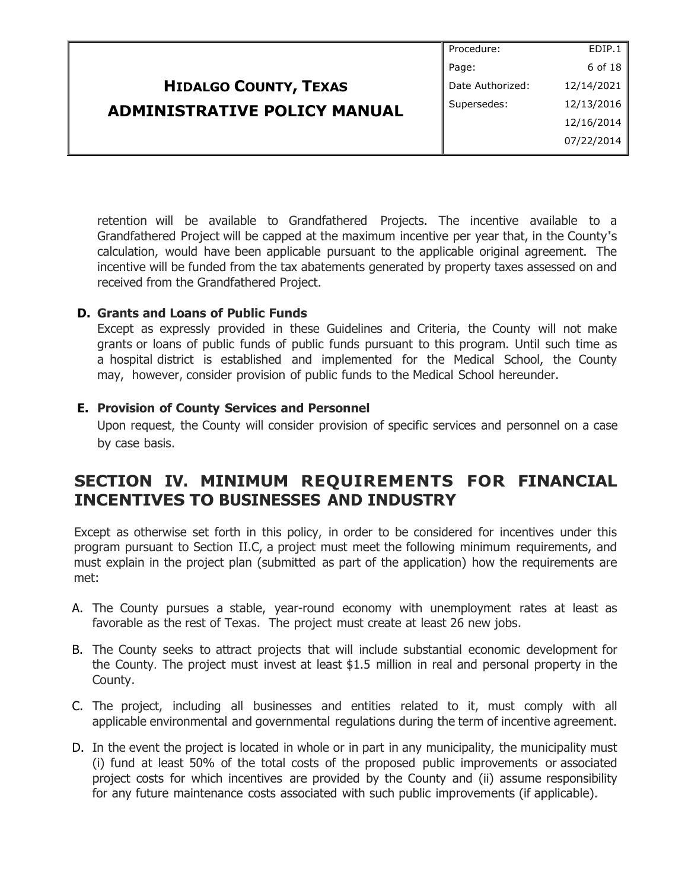|                                     | Procedure:       | EDIP.1     |
|-------------------------------------|------------------|------------|
|                                     | Page:            | 6 of 18    |
| <b>HIDALGO COUNTY, TEXAS</b>        | Date Authorized: | 12/14/2021 |
| <b>ADMINISTRATIVE POLICY MANUAL</b> | Supersedes:      | 12/13/2016 |
|                                     |                  | 12/16/2014 |
|                                     |                  | 07/22/2014 |

retention will be available to Grandfathered Projects. The incentive available to a Grandfathered Project will be capped at the maximum incentive per year that, in the County's calculation, would have been applicable pursuant to the applicable original agreement. The incentive will be funded from the tax abatements generated by property taxes assessed on and received from the Grandfathered Project.

### **D. Grants and Loans of Public Funds**

Except as expressly provided in these Guidelines and Criteria, the County will not make grants or loans of public funds of public funds pursuant to this program. Until such time as a hospital district is established and implemented for the Medical School, the County may, however, consider provision of public funds to the Medical School hereunder.

### **E. Provision of County Services and Personnel**

Upon request, the County will consider provision of specific services and personnel on a case by case basis.

# **SECTION IV. MINIMUM REQUIREMENTS FOR FINANCIAL INCENTIVES TO BUSINESSES AND INDUSTRY**

Except as otherwise set forth in this policy, in order to be considered for incentives under this program pursuant to Section II.C, a project must meet the following minimum requirements, and must explain in the project plan (submitted as part of the application) how the requirements are met:

- A. The County pursues a stable, year-round economy with unemployment rates at least as favorable as the rest of Texas. The project must create at least 26 new jobs.
- B. The County seeks to attract projects that will include substantial economic development for the County. The project must invest at least \$1.5 million in real and personal property in the County.
- C. The project, including all businesses and entities related to it, must comply with all applicable environmental and governmental regulations during the term of incentive agreement.
- D. In the event the project is located in whole or in part in any municipality, the municipality must (i) fund at least 50% of the total costs of the proposed public improvements or associated project costs for which incentives are provided by the County and (ii) assume responsibility for any future maintenance costs associated with such public improvements (if applicable).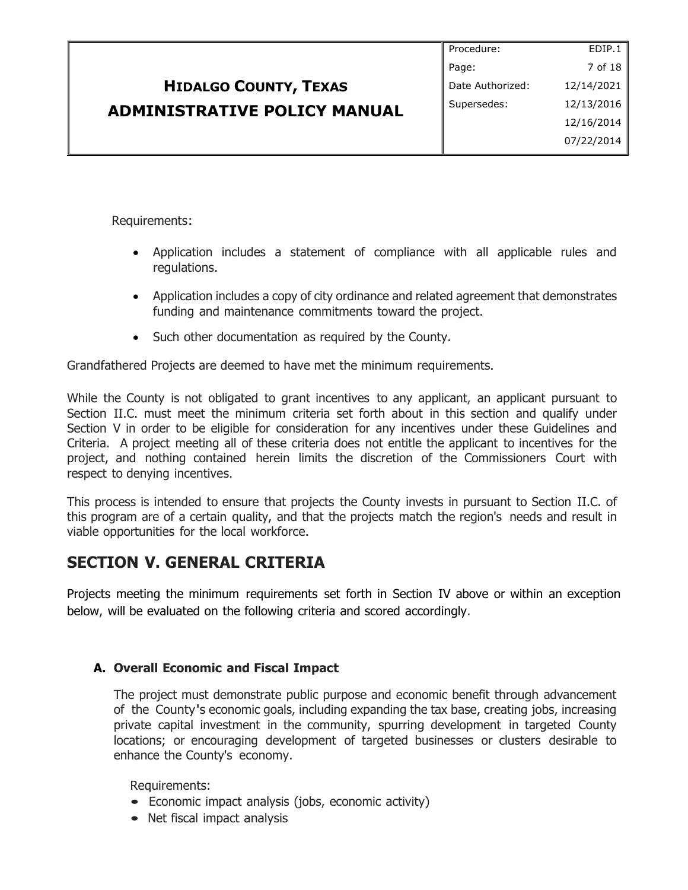|                                     | Procedure:       | EDIP.1     |
|-------------------------------------|------------------|------------|
|                                     | Page:            | 7 of 18    |
| <b>HIDALGO COUNTY, TEXAS</b>        | Date Authorized: | 12/14/2021 |
| <b>ADMINISTRATIVE POLICY MANUAL</b> | Supersedes:      | 12/13/2016 |
|                                     |                  | 12/16/2014 |
|                                     |                  | 07/22/2014 |

Requirements:

- Application includes a statement of compliance with all applicable rules and regulations.
- Application includes a copy of city ordinance and related agreement that demonstrates funding and maintenance commitments toward the project.
- Such other documentation as required by the County.

Grandfathered Projects are deemed to have met the minimum requirements.

While the County is not obligated to grant incentives to any applicant, an applicant pursuant to Section II.C. must meet the minimum criteria set forth about in this section and qualify under Section V in order to be eligible for consideration for any incentives under these Guidelines and Criteria. A project meeting all of these criteria does not entitle the applicant to incentives for the project, and nothing contained herein limits the discretion of the Commissioners Court with respect to denying incentives.

This process is intended to ensure that projects the County invests in pursuant to Section II.C. of this program are of a certain quality, and that the projects match the region's needs and result in viable opportunities for the local workforce.

# **SECTION V. GENERAL CRITERIA**

Projects meeting the minimum requirements set forth in Section IV above or within an exception below, will be evaluated on the following criteria and scored accordingly.

### **A. Overall Economic and Fiscal Impact**

The project must demonstrate public purpose and economic benefit through advancement of the County's economic goals, including expanding the tax base, creating jobs, increasing private capital investment in the community, spurring development in targeted County locations; or encouraging development of targeted businesses or clusters desirable to enhance the County's economy.

Requirements:

- Economic impact analysis (jobs, economic activity)
- Net fiscal impact analysis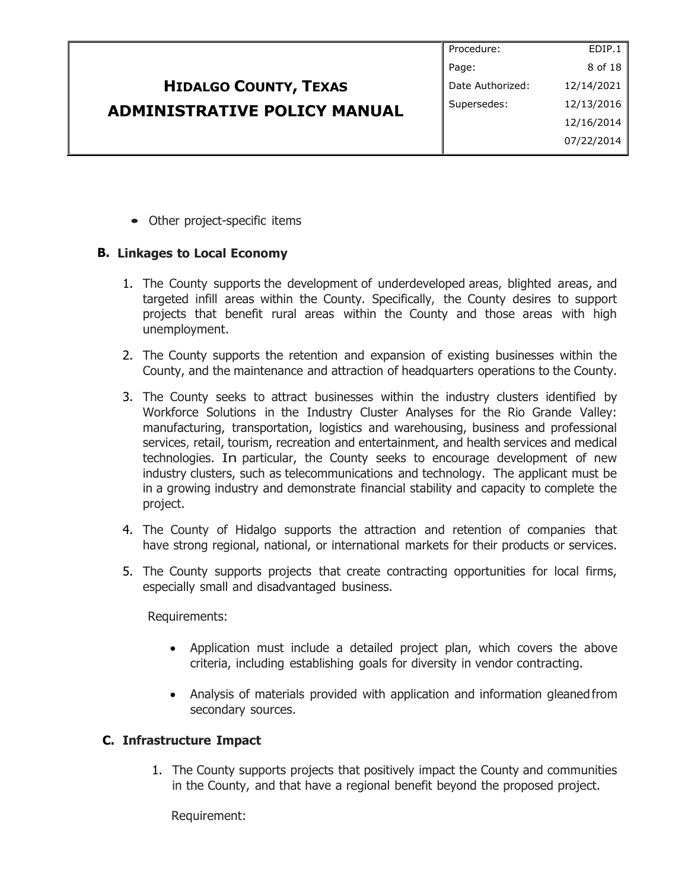| Procedure:       | EDIP.1     |
|------------------|------------|
| Page:            | 8 of 18    |
| Date Authorized: | 12/14/2021 |
| Supersedes:      | 12/13/2016 |
|                  | 12/16/2014 |
|                  | 07/22/2014 |
|                  |            |

• Other project-specific items

## **B. Linkages to Local Economy**

- 1. The County supports the development of underdeveloped areas, blighted areas, and targeted infill areas within the County. Specifically, the County desires to support projects that benefit rural areas within the County and those areas with high unemployment.
- 2. The County supports the retention and expansion of existing businesses within the County, and the maintenance and attraction of headquarters operations to the County.
- 3. The County seeks to attract businesses within the industry clusters identified by Workforce Solutions in the Industry Cluster Analyses for the Rio Grande Valley: manufacturing, transportation, logistics and warehousing, business and professional services, retail, tourism, recreation and entertainment, and health services and medical technologies. In particular, the County seeks to encourage development of new industry clusters, such as telecommunications and technology. The applicant must be in a growing industry and demonstrate financial stability and capacity to complete the project.
- 4. The County of Hidalgo supports the attraction and retention of companies that have strong regional, national, or international markets for their products or services.
- 5. The County supports projects that create contracting opportunities for local firms, especially small and disadvantaged business.

Requirements:

- Application must include a detailed project plan, which covers the above criteria, including establishing goals for diversity in vendor contracting.
- Analysis of materials provided with application and information gleaned from secondary sources.

### **C. Infrastructure Impact**

1. The County supports projects that positively impact the County and communities in the County, and that have a regional benefit beyond the proposed project.

Requirement: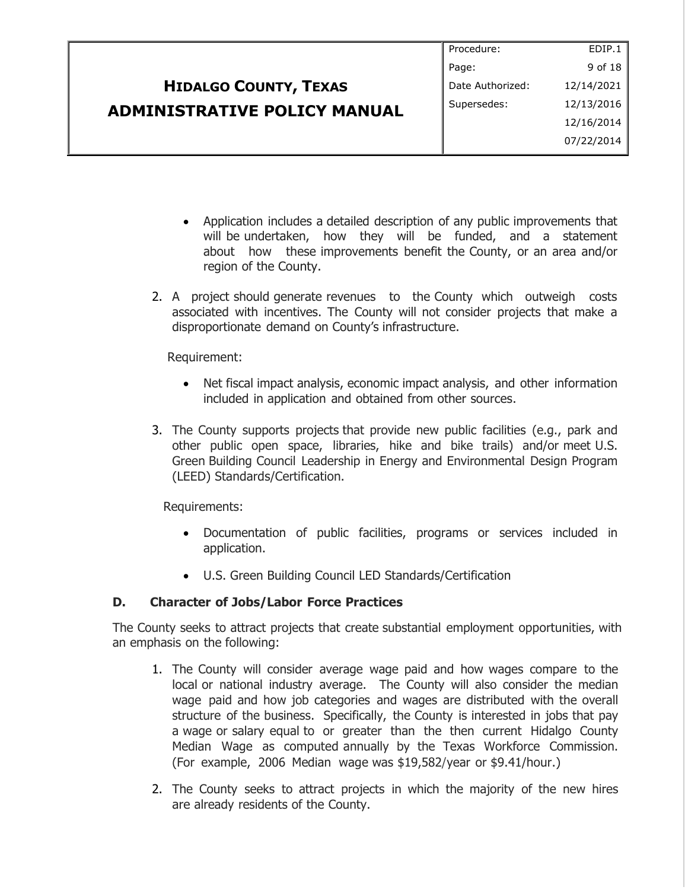|                                     | Procedure:       | EDIP.1     |
|-------------------------------------|------------------|------------|
|                                     | Page:            | 9 of 18    |
| <b>HIDALGO COUNTY, TEXAS</b>        | Date Authorized: | 12/14/2021 |
| <b>ADMINISTRATIVE POLICY MANUAL</b> | Supersedes:      | 12/13/2016 |
|                                     |                  | 12/16/2014 |
|                                     |                  | 07/22/2014 |
|                                     |                  |            |

- Application includes a detailed description of any public improvements that will be undertaken, how they will be funded, and a statement about how these improvements benefit the County, or an area and/or region of the County.
- 2. A project should generate revenues to the County which outweigh costs associated with incentives. The County will not consider projects that make a disproportionate demand on County's infrastructure.

Requirement:

- Net fiscal impact analysis, economic impact analysis, and other information included in application and obtained from other sources.
- 3. The County supports projects that provide new public facilities (e.g., park and other public open space, libraries, hike and bike trails) and/or meet U.S. Green Building Council Leadership in Energy and Environmental Design Program (LEED) Standards/Certification.

Requirements:

- Documentation of public facilities, programs or services included in application.
- U.S. Green Building Council LED Standards/Certification

## **D. Character of Jobs/Labor Force Practices**

The County seeks to attract projects that create substantial employment opportunities, with an emphasis on the following:

- 1. The County will consider average wage paid and how wages compare to the local or national industry average. The County will also consider the median wage paid and how job categories and wages are distributed with the overall structure of the business. Specifically, the County is interested in jobs that pay a wage or salary equal to or greater than the then current Hidalgo County Median Wage as computed annually by the Texas Workforce Commission. (For example, 2006 Median wage was \$19,582/year or \$9.41/hour.)
- 2. The County seeks to attract projects in which the majority of the new hires are already residents of the County.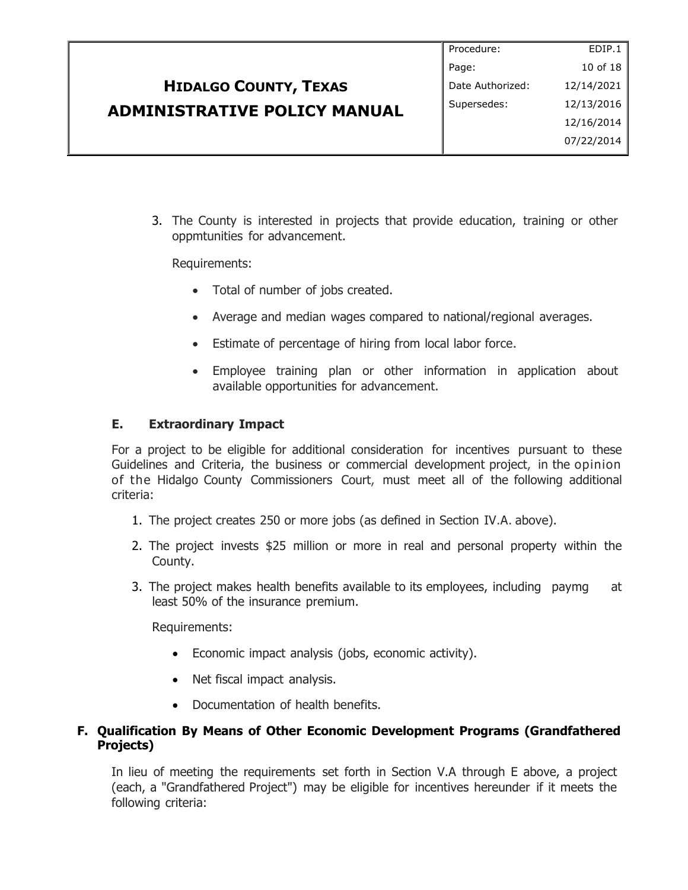|                                     | Procedure:       | EDIP.1     |
|-------------------------------------|------------------|------------|
|                                     | Page:            | 10 of 18   |
| <b>HIDALGO COUNTY, TEXAS</b>        | Date Authorized: | 12/14/2021 |
| <b>ADMINISTRATIVE POLICY MANUAL</b> | Supersedes:      | 12/13/2016 |
|                                     |                  | 12/16/2014 |
|                                     |                  | 07/22/2014 |
|                                     |                  |            |

3. The County is interested in projects that provide education, training or other oppmtunities for advancement.

Requirements:

- Total of number of jobs created.
- Average and median wages compared to national/regional averages.
- Estimate of percentage of hiring from local labor force.
- Employee training plan or other information in application about available opportunities for advancement.

### **E. Extraordinary Impact**

For a project to be eligible for additional consideration for incentives pursuant to these Guidelines and Criteria, the business or commercial development project, in the opinion of the Hidalgo County Commissioners Court, must meet all of the following additional criteria:

- 1. The project creates 250 or more jobs (as defined in Section IV.A. above).
- 2. The project invests \$25 million or more in real and personal property within the County.
- 3. The project makes health benefits available to its employees, including paymg at least 50% of the insurance premium.

Requirements:

- Economic impact analysis (jobs, economic activity).
- Net fiscal impact analysis.
- Documentation of health benefits.

### **F. Qualification By Means of Other Economic Development Programs (Grandfathered Projects)**

In lieu of meeting the requirements set forth in Section V.A through E above, a project (each, a "Grandfathered Project") may be eligible for incentives hereunder if it meets the following criteria: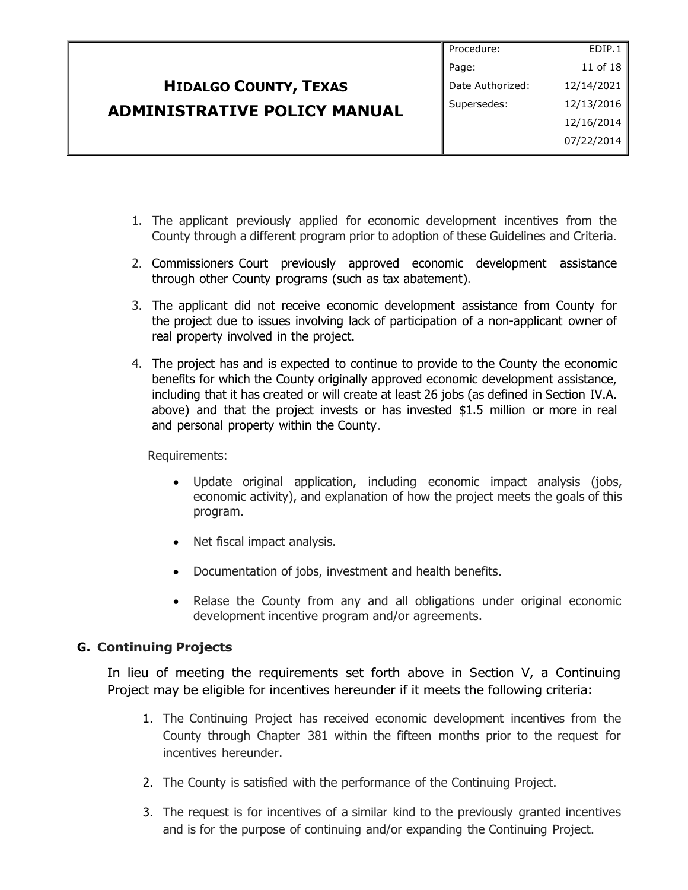| Procedure:       | EDIP.1     |
|------------------|------------|
| Page:            | 11 of 18   |
| Date Authorized: | 12/14/2021 |
| Supersedes:      | 12/13/2016 |
|                  | 12/16/2014 |
|                  | 07/22/2014 |
|                  |            |

- 1. The applicant previously applied for economic development incentives from the County through a different program prior to adoption of these Guidelines and Criteria.
- 2. Commissioners Court previously approved economic development assistance through other County programs (such as tax abatement).
- 3. The applicant did not receive economic development assistance from County for the project due to issues involving lack of participation of a non-applicant owner of real property involved in the project.
- 4. The project has and is expected to continue to provide to the County the economic benefits for which the County originally approved economic development assistance, including that it has created or will create at least 26 jobs (as defined in Section IV.A. above) and that the project invests or has invested \$1.5 million or more in real and personal property within the County.

Requirements:

- Update original application, including economic impact analysis (jobs, economic activity), and explanation of how the project meets the goals of this program.
- Net fiscal impact analysis.
- Documentation of jobs, investment and health benefits.
- Relase the County from any and all obligations under original economic development incentive program and/or agreements.

### **G. Continuing Projects**

In lieu of meeting the requirements set forth above in Section V, a Continuing Project may be eligible for incentives hereunder if it meets the following criteria:

- 1. The Continuing Project has received economic development incentives from the County through Chapter 381 within the fifteen months prior to the request for incentives hereunder.
- 2. The County is satisfied with the performance of the Continuing Project.
- 3. The request is for incentives of a similar kind to the previously granted incentives and is for the purpose of continuing and/or expanding the Continuing Project.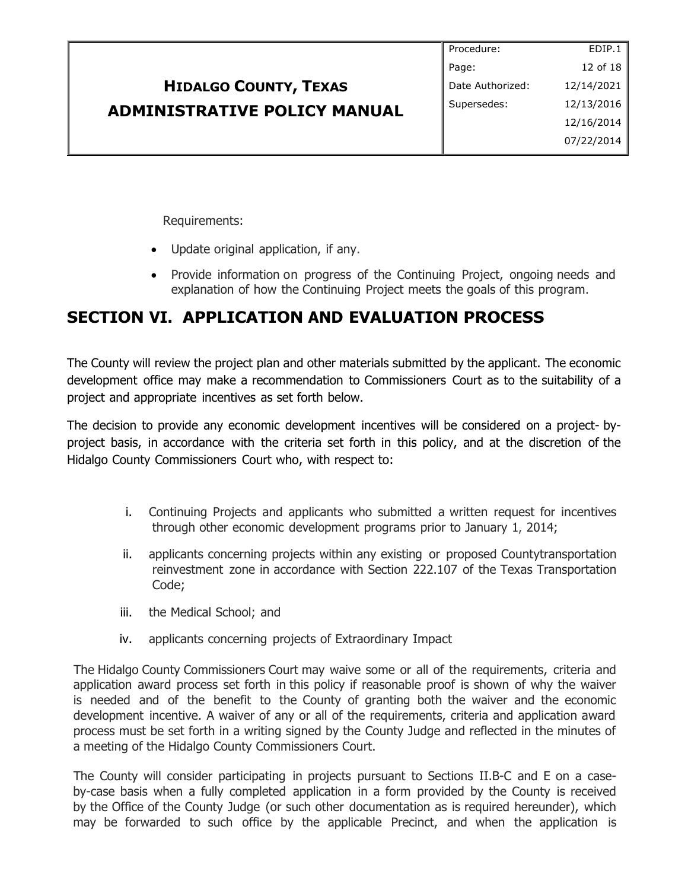| EDIP.1<br>Procedure:           |
|--------------------------------|
| 12 of 18<br>Page:              |
| 12/14/2021<br>Date Authorized: |
| 12/13/2016<br>Supersedes:      |
| 12/16/2014                     |
| 07/22/2014                     |
|                                |

Requirements:

- Update original application, if any.
- Provide information on progress of the Continuing Project, ongoing needs and explanation of how the Continuing Project meets the goals of this program.

# **SECTION VI. APPLICATION AND EVALUATION PROCESS**

The County will review the project plan and other materials submitted by the applicant. The economic development office may make a recommendation to Commissioners Court as to the suitability of a project and appropriate incentives as set forth below.

The decision to provide any economic development incentives will be considered on a project- byproject basis, in accordance with the criteria set forth in this policy, and at the discretion of the Hidalgo County Commissioners Court who, with respect to:

- i. Continuing Projects and applicants who submitted a written request for incentives through other economic development programs prior to January 1, 2014;
- ii. applicants concerning projects within any existing or proposed Countytransportation reinvestment zone in accordance with Section 222.107 of the Texas Transportation Code;
- iii. the Medical School; and
- iv. applicants concerning projects of Extraordinary Impact

The Hidalgo County Commissioners Court may waive some or all of the requirements, criteria and application award process set forth in this policy if reasonable proof is shown of why the waiver is needed and of the benefit to the County of granting both the waiver and the economic development incentive. A waiver of any or all of the requirements, criteria and application award process must be set forth in a writing signed by the County Judge and reflected in the minutes of a meeting of the Hidalgo County Commissioners Court.

The County will consider participating in projects pursuant to Sections II.B-C and E on a caseby-case basis when a fully completed application in a form provided by the County is received by the Office of the County Judge (or such other documentation as is required hereunder), which may be forwarded to such office by the applicable Precinct, and when the application is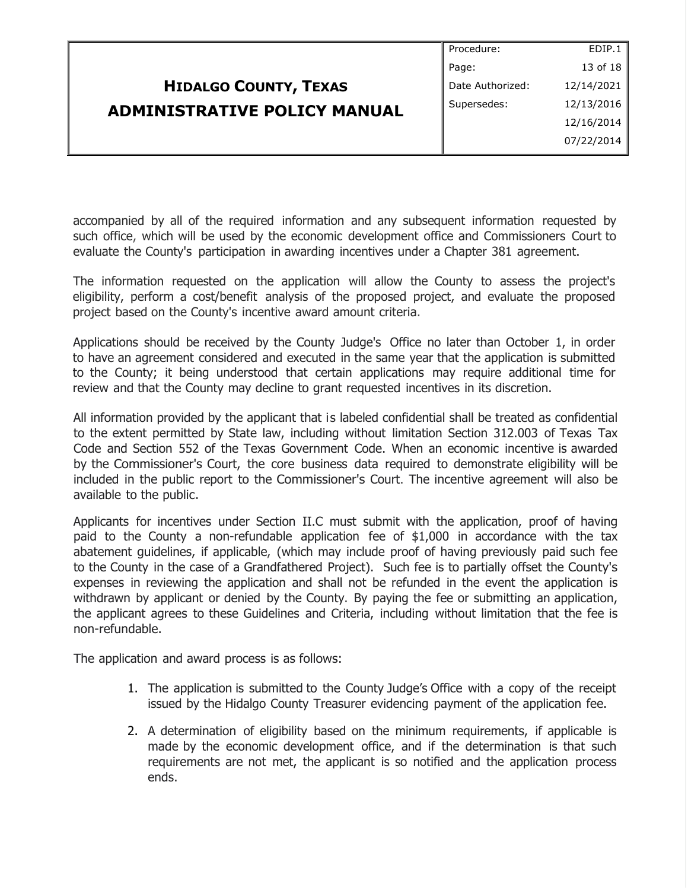| Procedure:       | EDIP.1     |
|------------------|------------|
| Page:            | 13 of 18   |
| Date Authorized: | 12/14/2021 |
| Supersedes:      | 12/13/2016 |
|                  | 12/16/2014 |
|                  | 07/22/2014 |
|                  |            |

accompanied by all of the required information and any subsequent information requested by such office, which will be used by the economic development office and Commissioners Court to evaluate the County's participation in awarding incentives under a Chapter 381 agreement.

The information requested on the application will allow the County to assess the project's eligibility, perform a cost/benefit analysis of the proposed project, and evaluate the proposed project based on the County's incentive award amount criteria.

Applications should be received by the County Judge's Office no later than October 1, in order to have an agreement considered and executed in the same year that the application is submitted to the County; it being understood that certain applications may require additional time for review and that the County may decline to grant requested incentives in its discretion.

All information provided by the applicant that is labeled confidential shall be treated as confidential to the extent permitted by State law, including without limitation Section 312.003 of Texas Tax Code and Section 552 of the Texas Government Code. When an economic incentive is awarded by the Commissioner's Court, the core business data required to demonstrate eligibility will be included in the public report to the Commissioner's Court. The incentive agreement will also be available to the public.

Applicants for incentives under Section II.C must submit with the application, proof of having paid to the County a non-refundable application fee of \$1,000 in accordance with the tax abatement guidelines, if applicable, (which may include proof of having previously paid such fee to the County in the case of a Grandfathered Project). Such fee is to partially offset the County's expenses in reviewing the application and shall not be refunded in the event the application is withdrawn by applicant or denied by the County. By paying the fee or submitting an application, the applicant agrees to these Guidelines and Criteria, including without limitation that the fee is non-refundable.

The application and award process is as follows:

- 1. The application is submitted to the County Judge's Office with a copy of the receipt issued by the Hidalgo County Treasurer evidencing payment of the application fee.
- 2. A determination of eligibility based on the minimum requirements, if applicable is made by the economic development office, and if the determination is that such requirements are not met, the applicant is so notified and the application process ends.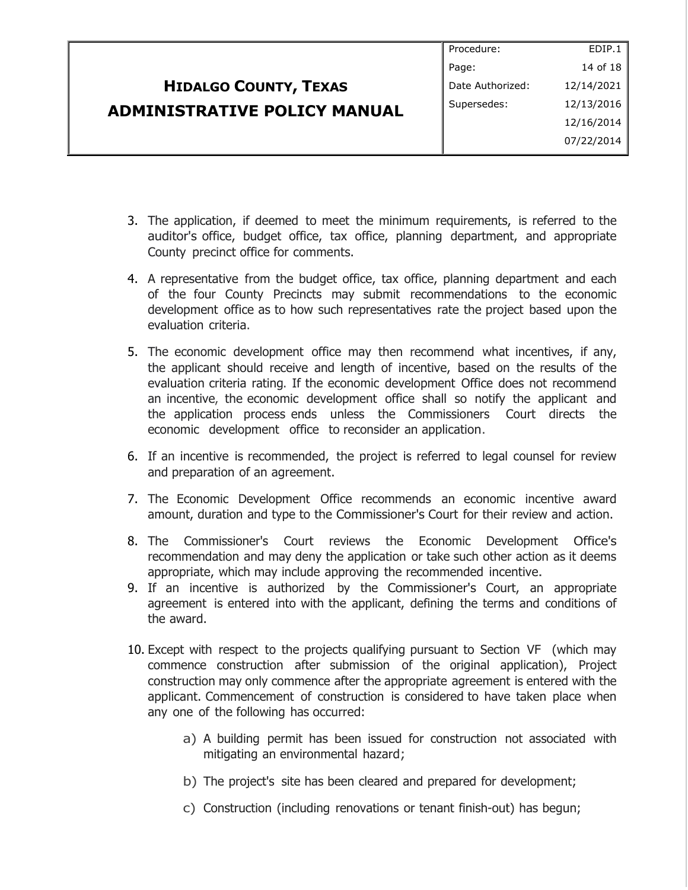|                                     | Procedure:       | EDIP.1     |
|-------------------------------------|------------------|------------|
|                                     | Page:            | 14 of 18   |
| <b>HIDALGO COUNTY, TEXAS</b>        | Date Authorized: | 12/14/2021 |
| <b>ADMINISTRATIVE POLICY MANUAL</b> | Supersedes:      | 12/13/2016 |
|                                     |                  | 12/16/2014 |
|                                     |                  | 07/22/2014 |
|                                     |                  |            |

- 3. The application, if deemed to meet the minimum requirements, is referred to the auditor's office, budget office, tax office, planning department, and appropriate County precinct office for comments.
- 4. A representative from the budget office, tax office, planning department and each of the four County Precincts may submit recommendations to the economic development office as to how such representatives rate the project based upon the evaluation criteria.
- 5. The economic development office may then recommend what incentives, if any, the applicant should receive and length of incentive, based on the results of the evaluation criteria rating. If the economic development Office does not recommend an incentive, the economic development office shall so notify the applicant and the application process ends unless the Commissioners Court directs the economic development office to reconsider an application.
- 6. If an incentive is recommended, the project is referred to legal counsel for review and preparation of an agreement.
- 7. The Economic Development Office recommends an economic incentive award amount, duration and type to the Commissioner's Court for their review and action.
- 8. The Commissioner's Court reviews the Economic Development Office's recommendation and may deny the application or take such other action as it deems appropriate, which may include approving the recommended incentive.
- 9. If an incentive is authorized by the Commissioner's Court, an appropriate agreement is entered into with the applicant, defining the terms and conditions of the award.
- 10. Except with respect to the projects qualifying pursuant to Section VF (which may commence construction after submission of the original application), Project construction may only commence after the appropriate agreement is entered with the applicant. Commencement of construction is considered to have taken place when any one of the following has occurred:
	- a) A building permit has been issued for construction not associated with mitigating an environmental hazard;
	- b) The project's site has been cleared and prepared for development;
	- c) Construction (including renovations or tenant finish-out) has begun;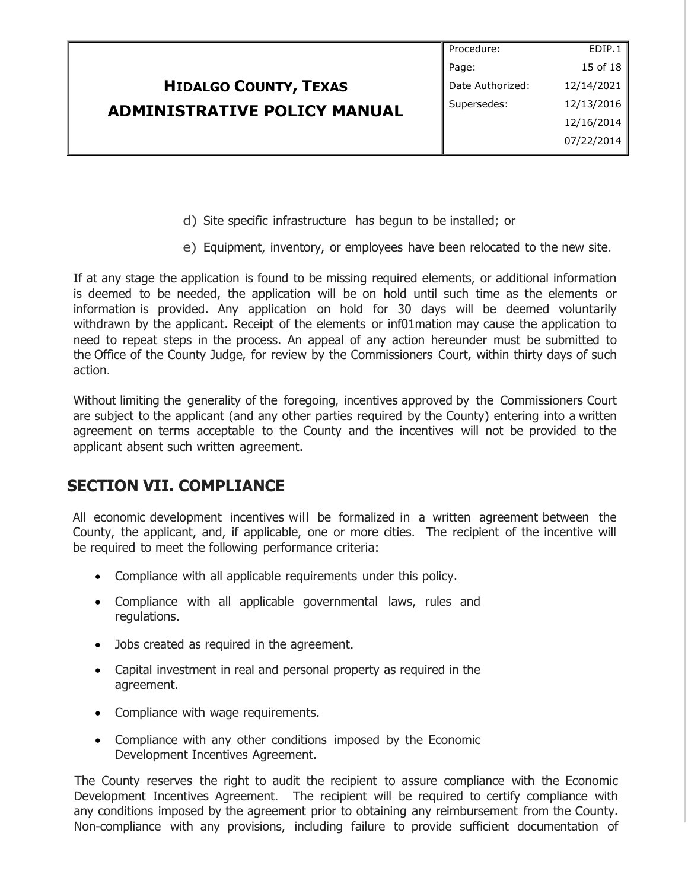|                                     | Procedure:       | EDIP.1     |
|-------------------------------------|------------------|------------|
|                                     | Page:            | 15 of 18   |
| <b>HIDALGO COUNTY, TEXAS</b>        | Date Authorized: | 12/14/2021 |
| <b>ADMINISTRATIVE POLICY MANUAL</b> | Supersedes:      | 12/13/2016 |
|                                     |                  | 12/16/2014 |
|                                     |                  | 07/22/2014 |

- d) Site specific infrastructure has begun to be installed; or
- e) Equipment, inventory, or employees have been relocated to the new site.

If at any stage the application is found to be missing required elements, or additional information is deemed to be needed, the application will be on hold until such time as the elements or information is provided. Any application on hold for 30 days will be deemed voluntarily withdrawn by the applicant. Receipt of the elements or inf01mation may cause the application to need to repeat steps in the process. An appeal of any action hereunder must be submitted to the Office of the County Judge, for review by the Commissioners Court, within thirty days of such action.

Without limiting the generality of the foregoing, incentives approved by the Commissioners Court are subject to the applicant (and any other parties required by the County) entering into a written agreement on terms acceptable to the County and the incentives will not be provided to the applicant absent such written agreement.

## **SECTION VII. COMPLIANCE**

All economic development incentives will be formalized in a written agreement between the County, the applicant, and, if applicable, one or more cities. The recipient of the incentive will be required to meet the following performance criteria:

- Compliance with all applicable requirements under this policy.
- Compliance with all applicable governmental laws, rules and regulations.
- Jobs created as required in the agreement.
- Capital investment in real and personal property as required in the agreement.
- Compliance with wage requirements.
- Compliance with any other conditions imposed by the Economic Development Incentives Agreement.

The County reserves the right to audit the recipient to assure compliance with the Economic Development Incentives Agreement. The recipient will be required to certify compliance with any conditions imposed by the agreement prior to obtaining any reimbursement from the County. Non-compliance with any provisions, including failure to provide sufficient documentation of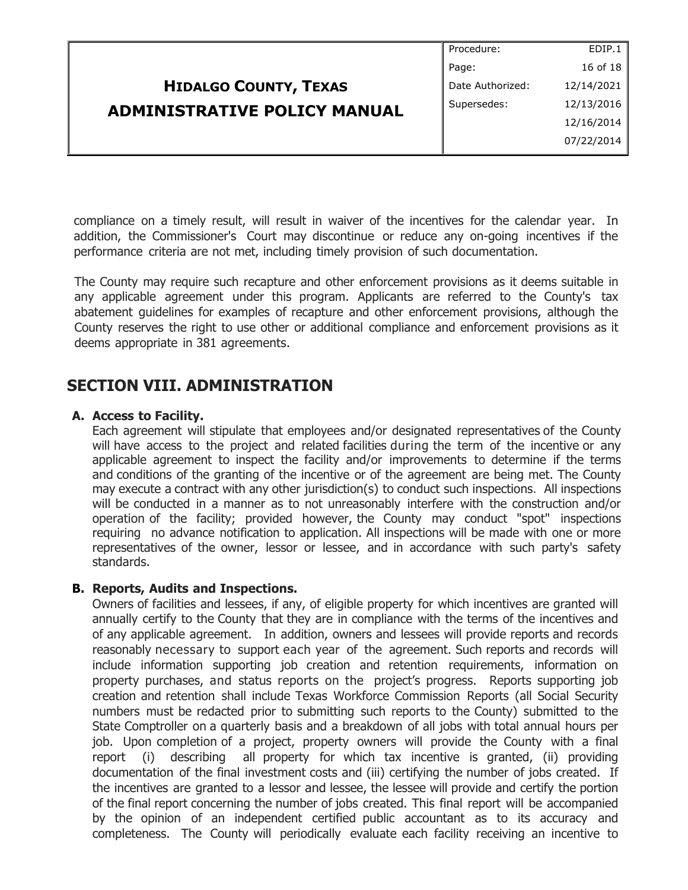| Procedure:       | EDIP.1     |
|------------------|------------|
| Page:            | 16 of 18   |
| Date Authorized: | 12/14/2021 |
| Supersedes:      | 12/13/2016 |
|                  | 12/16/2014 |
|                  | 07/22/2014 |
|                  |            |

compliance on a timely result, will result in waiver of the incentives for the calendar year. In addition, the Commissioner's Court may discontinue or reduce any on-going incentives if the performance criteria are not met, including timely provision of such documentation.

The County may require such recapture and other enforcement provisions as it deems suitable in any applicable agreement under this program. Applicants are referred to the County's tax abatement guidelines for examples of recapture and other enforcement provisions, although the County reserves the right to use other or additional compliance and enforcement provisions as it deems appropriate in 381 agreements.

# **SECTION VIII. ADMINISTRATION**

### **A. Access to Facility.**

Each agreement will stipulate that employees and/or designated representatives of the County will have access to the project and related facilities during the term of the incentive or any applicable agreement to inspect the facility and/or improvements to determine if the terms and conditions of the granting of the incentive or of the agreement are being met. The County may execute a contract with any other jurisdiction(s) to conduct such inspections. All inspections will be conducted in a manner as to not unreasonably interfere with the construction and/or operation of the facility; provided however, the County may conduct "spot" inspections requiring no advance notification to application. All inspections will be made with one or more representatives of the owner, lessor or lessee, and in accordance with such party's safety standards.

### **B. Reports, Audits and Inspections.**

Owners of facilities and lessees, if any, of eligible property for which incentives are granted will annually certify to the County that they are in compliance with the terms of the incentives and of any applicable agreement. In addition, owners and lessees will provide reports and records reasonably necessary to support each year of the agreement. Such reports and records will include information supporting job creation and retention requirements, information on property purchases, and status reports on the project's progress. Reports supporting job creation and retention shall include Texas Workforce Commission Reports (all Social Security numbers must be redacted prior to submitting such reports to the County) submitted to the State Comptroller on a quarterly basis and a breakdown of all jobs with total annual hours per job. Upon completion of a project, property owners will provide the County with a final report (i) describing all property for which tax incentive is granted, (ii) providing documentation of the final investment costs and (iii) certifying the number of jobs created. If the incentives are granted to a lessor and lessee, the lessee will provide and certify the portion of the final report concerning the number of jobs created. This final report will be accompanied by the opinion of an independent certified public accountant as to its accuracy and completeness. The County will periodically evaluate each facility receiving an incentive to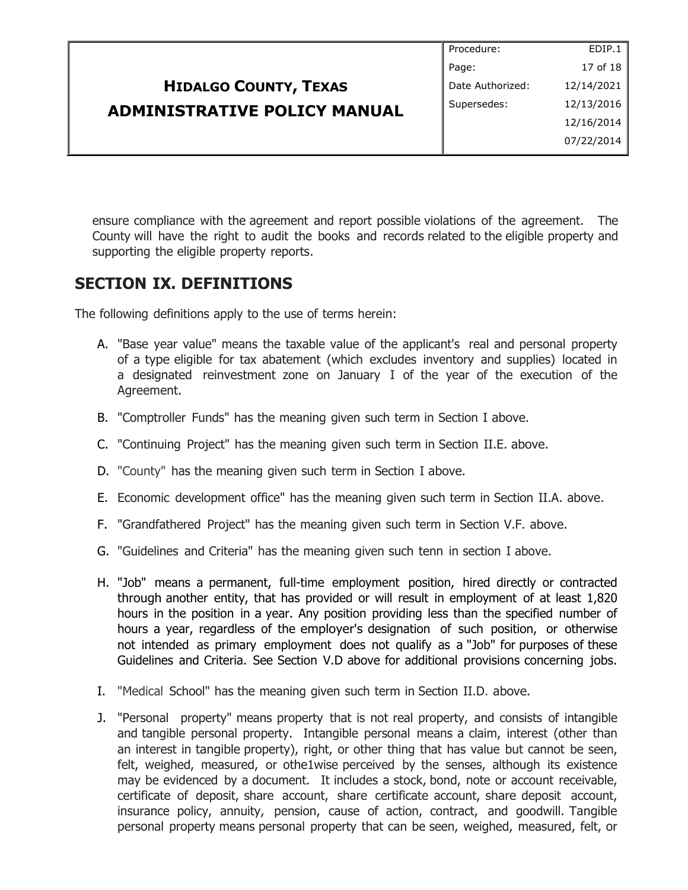|                                     | Procedure:       | EDIP.1     |
|-------------------------------------|------------------|------------|
|                                     | Page:            | 17 of 18   |
| <b>HIDALGO COUNTY, TEXAS</b>        | Date Authorized: | 12/14/2021 |
| <b>ADMINISTRATIVE POLICY MANUAL</b> | Supersedes:      | 12/13/2016 |
|                                     |                  | 12/16/2014 |
|                                     |                  | 07/22/2014 |
|                                     |                  |            |

ensure compliance with the agreement and report possible violations of the agreement. The County will have the right to audit the books and records related to the eligible property and supporting the eligible property reports.

# **SECTION IX. DEFINITIONS**

The following definitions apply to the use of terms herein:

- A. "Base year value" means the taxable value of the applicant's real and personal property of a type eligible for tax abatement (which excludes inventory and supplies) located in a designated reinvestment zone on January I of the year of the execution of the Agreement.
- B. "Comptroller Funds" has the meaning given such term in Section I above.
- C. "Continuing Project" has the meaning given such term in Section II.E. above.
- D. "County" has the meaning given such term in Section I above.
- E. Economic development office" has the meaning given such term in Section II.A. above.
- F. "Grandfathered Project" has the meaning given such term in Section V.F. above.
- G. "Guidelines and Criteria" has the meaning given such tenn in section I above.
- H. "Job" means a permanent, full-time employment position, hired directly or contracted through another entity, that has provided or will result in employment of at least 1,820 hours in the position in a year. Any position providing less than the specified number of hours a year, regardless of the employer's designation of such position, or otherwise not intended as primary employment does not qualify as a "Job" for purposes of these Guidelines and Criteria. See Section V.D above for additional provisions concerning jobs.
- I. "Medical School" has the meaning given such term in Section II.D. above.
- J. "Personal property" means property that is not real property, and consists of intangible and tangible personal property. Intangible personal means a claim, interest (other than an interest in tangible property), right, or other thing that has value but cannot be seen, felt, weighed, measured, or othe1wise perceived by the senses, although its existence may be evidenced by a document. It includes a stock, bond, note or account receivable, certificate of deposit, share account, share certificate account, share deposit account, insurance policy, annuity, pension, cause of action, contract, and goodwill. Tangible personal property means personal property that can be seen, weighed, measured, felt, or